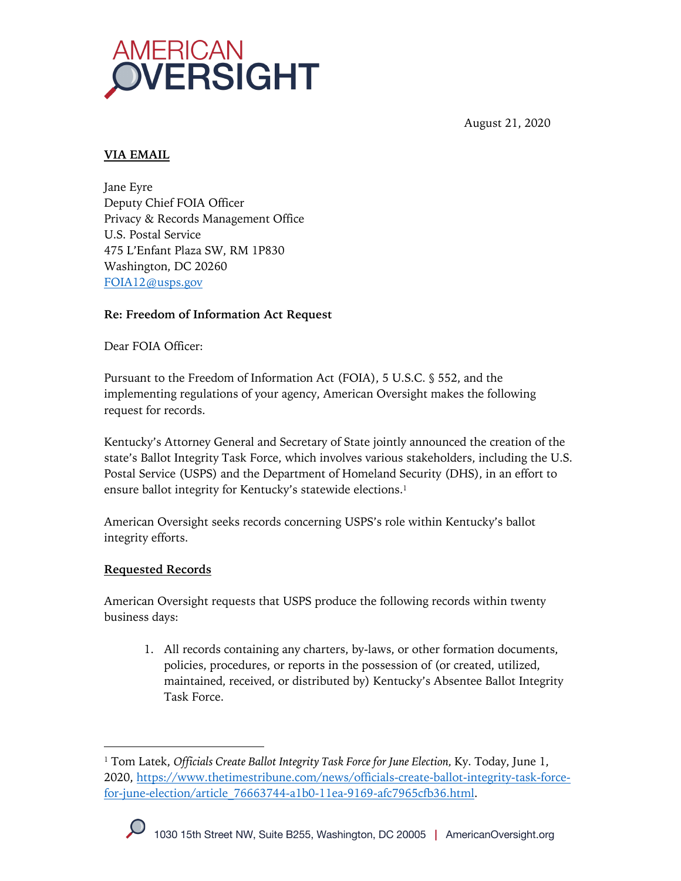

August 21, 2020

## **VIA EMAIL**

Jane Eyre Deputy Chief FOIA Officer Privacy & Records Management Office U.S. Postal Service 475 L'Enfant Plaza SW, RM 1P830 Washington, DC 20260 FOIA12@usps.gov

## **Re: Freedom of Information Act Request**

Dear FOIA Officer:

Pursuant to the Freedom of Information Act (FOIA), 5 U.S.C. § 552, and the implementing regulations of your agency, American Oversight makes the following request for records.

Kentucky's Attorney General and Secretary of State jointly announced the creation of the state's Ballot Integrity Task Force, which involves various stakeholders, including the U.S. Postal Service (USPS) and the Department of Homeland Security (DHS), in an effort to ensure ballot integrity for Kentucky's statewide elections.<sup>1</sup>

American Oversight seeks records concerning USPS's role within Kentucky's ballot integrity efforts.

## **Requested Records**

American Oversight requests that USPS produce the following records within twenty business days:

1. All records containing any charters, by-laws, or other formation documents, policies, procedures, or reports in the possession of (or created, utilized, maintained, received, or distributed by) Kentucky's Absentee Ballot Integrity Task Force.

<sup>&</sup>lt;sup>1</sup> Tom Latek, *Officials Create Ballot Integrity Task Force for June Election, Ky. Today, June 1,* 2020, https://www.thetimestribune.com/news/officials-create-ballot-integrity-task-forcefor-june-election/article\_76663744-a1b0-11ea-9169-afc7965cfb36.html.

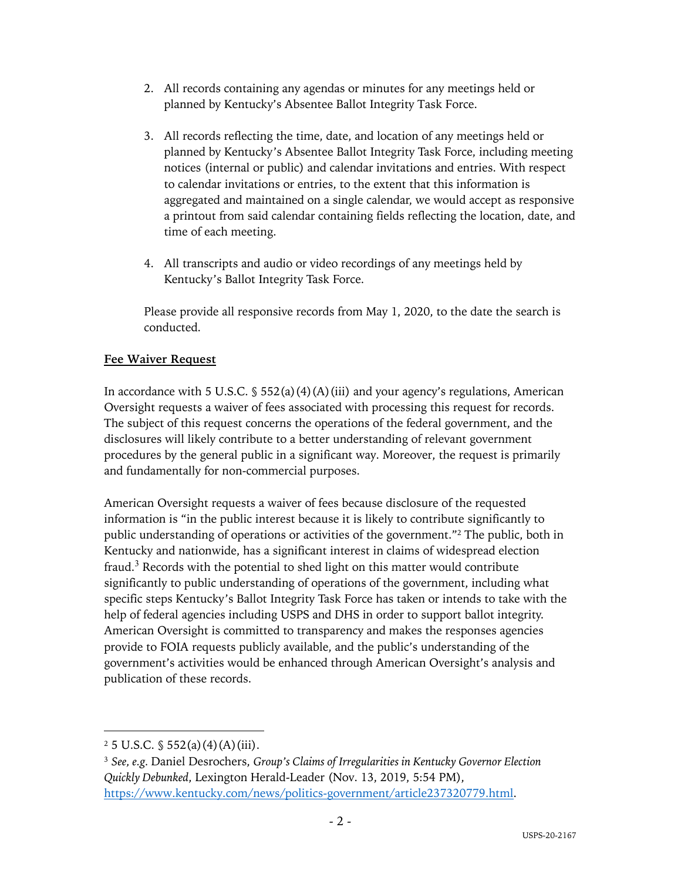- 2. All records containing any agendas or minutes for any meetings held or planned by Kentucky's Absentee Ballot Integrity Task Force.
- 3. All records reflecting the time, date, and location of any meetings held or planned by Kentucky's Absentee Ballot Integrity Task Force, including meeting notices (internal or public) and calendar invitations and entries. With respect to calendar invitations or entries, to the extent that this information is aggregated and maintained on a single calendar, we would accept as responsive a printout from said calendar containing fields reflecting the location, date, and time of each meeting.
- 4. All transcripts and audio or video recordings of any meetings held by Kentucky's Ballot Integrity Task Force.

Please provide all responsive records from May 1, 2020, to the date the search is conducted.

## **Fee Waiver Request**

In accordance with 5 U.S.C.  $\frac{1}{5}$  552(a)(4)(A)(iii) and your agency's regulations, American Oversight requests a waiver of fees associated with processing this request for records. The subject of this request concerns the operations of the federal government, and the disclosures will likely contribute to a better understanding of relevant government procedures by the general public in a significant way. Moreover, the request is primarily and fundamentally for non-commercial purposes.

American Oversight requests a waiver of fees because disclosure of the requested information is "in the public interest because it is likely to contribute significantly to public understanding of operations or activities of the government."2 The public, both in Kentucky and nationwide, has a significant interest in claims of widespread election fraud.<sup>3</sup> Records with the potential to shed light on this matter would contribute significantly to public understanding of operations of the government, including what specific steps Kentucky's Ballot Integrity Task Force has taken or intends to take with the help of federal agencies including USPS and DHS in order to support ballot integrity. American Oversight is committed to transparency and makes the responses agencies provide to FOIA requests publicly available, and the public's understanding of the government's activities would be enhanced through American Oversight's analysis and publication of these records.

 $2\,5$  U.S.C.  $\frac{6}{3}$  552(a)(4)(A)(iii).

<sup>3</sup> *See, e.g.* Daniel Desrochers, *Group's Claims of Irregularities in Kentucky Governor Election Quickly Debunked*, Lexington Herald-Leader (Nov. 13, 2019, 5:54 PM), https://www.kentucky.com/news/politics-government/article237320779.html.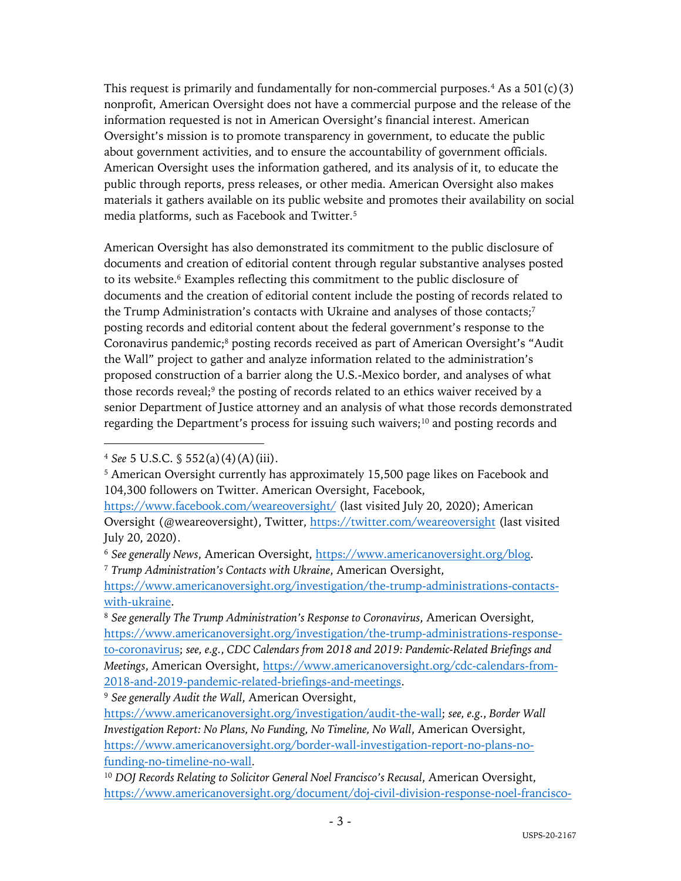This request is primarily and fundamentally for non-commercial purposes.<sup>4</sup> As a  $501(c)(3)$ nonprofit, American Oversight does not have a commercial purpose and the release of the information requested is not in American Oversight's financial interest. American Oversight's mission is to promote transparency in government, to educate the public about government activities, and to ensure the accountability of government officials. American Oversight uses the information gathered, and its analysis of it, to educate the public through reports, press releases, or other media. American Oversight also makes materials it gathers available on its public website and promotes their availability on social media platforms, such as Facebook and Twitter.5

American Oversight has also demonstrated its commitment to the public disclosure of documents and creation of editorial content through regular substantive analyses posted to its website.<sup>6</sup> Examples reflecting this commitment to the public disclosure of documents and the creation of editorial content include the posting of records related to the Trump Administration's contacts with Ukraine and analyses of those contacts;<sup>7</sup> posting records and editorial content about the federal government's response to the Coronavirus pandemic;<sup>8</sup> posting records received as part of American Oversight's "Audit the Wall" project to gather and analyze information related to the administration's proposed construction of a barrier along the U.S.-Mexico border, and analyses of what those records reveal;<sup>9</sup> the posting of records related to an ethics waiver received by a senior Department of Justice attorney and an analysis of what those records demonstrated regarding the Department's process for issuing such waivers;<sup>10</sup> and posting records and

<sup>9</sup> *See generally Audit the Wall*, American Oversight,

<sup>4</sup> *See* 5 U.S.C. § 552(a)(4)(A)(iii).

<sup>&</sup>lt;sup>5</sup> American Oversight currently has approximately 15,500 page likes on Facebook and 104,300 followers on Twitter. American Oversight, Facebook,

https://www.facebook.com/weareoversight/ (last visited July 20, 2020); American Oversight (@weareoversight), Twitter, https://twitter.com/weareoversight (last visited July 20, 2020).

<sup>&</sup>lt;sup>6</sup> See generally News, American Oversight, https://www.americanoversight.org/blog. <sup>7</sup> *Trump Administration's Contacts with Ukraine*, American Oversight,

https://www.americanoversight.org/investigation/the-trump-administrations-contactswith-ukraine.

<sup>8</sup> *See generally The Trump Administration's Response to Coronavirus*, American Oversight, https://www.americanoversight.org/investigation/the-trump-administrations-responseto-coronavirus; *see, e.g.*, *CDC Calendars from 2018 and 2019: Pandemic-Related Briefings and Meetings*, American Oversight, https://www.americanoversight.org/cdc-calendars-from-2018-and-2019-pandemic-related-briefings-and-meetings.

https://www.americanoversight.org/investigation/audit-the-wall; *see, e.g.*, *Border Wall Investigation Report: No Plans, No Funding, No Timeline, No Wall*, American Oversight, https://www.americanoversight.org/border-wall-investigation-report-no-plans-nofunding-no-timeline-no-wall.

<sup>&</sup>lt;sup>10</sup> *DOJ Records Relating to Solicitor General Noel Francisco's Recusal, American Oversight,* https://www.americanoversight.org/document/doj-civil-division-response-noel-francisco-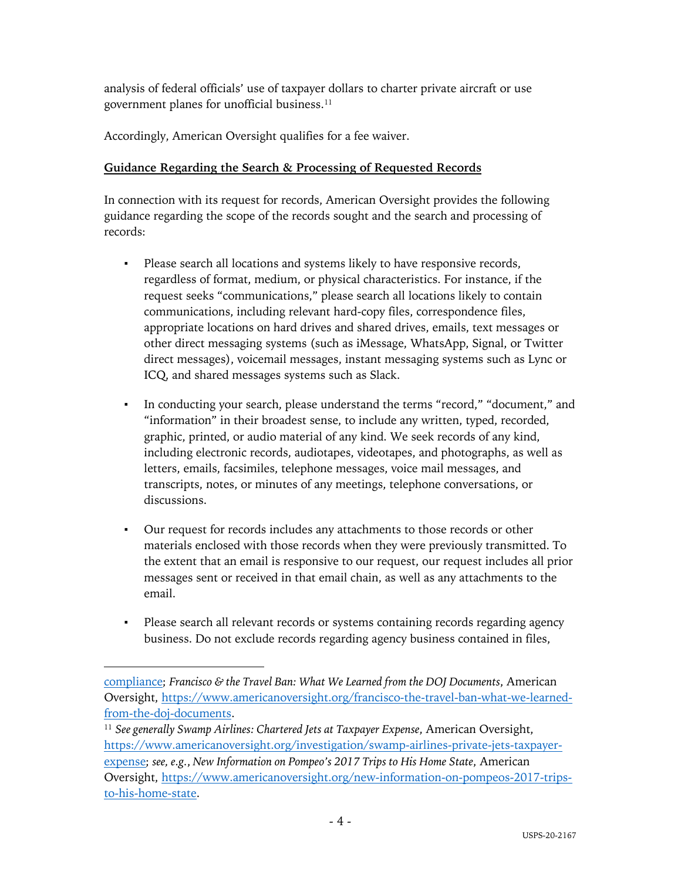analysis of federal officials' use of taxpayer dollars to charter private aircraft or use government planes for unofficial business. 11

Accordingly, American Oversight qualifies for a fee waiver.

# **Guidance Regarding the Search & Processing of Requested Records**

In connection with its request for records, American Oversight provides the following guidance regarding the scope of the records sought and the search and processing of records:

- Please search all locations and systems likely to have responsive records, regardless of format, medium, or physical characteristics. For instance, if the request seeks "communications," please search all locations likely to contain communications, including relevant hard-copy files, correspondence files, appropriate locations on hard drives and shared drives, emails, text messages or other direct messaging systems (such as iMessage, WhatsApp, Signal, or Twitter direct messages), voicemail messages, instant messaging systems such as Lync or ICQ, and shared messages systems such as Slack.
- In conducting your search, please understand the terms "record," "document," and "information" in their broadest sense, to include any written, typed, recorded, graphic, printed, or audio material of any kind. We seek records of any kind, including electronic records, audiotapes, videotapes, and photographs, as well as letters, emails, facsimiles, telephone messages, voice mail messages, and transcripts, notes, or minutes of any meetings, telephone conversations, or discussions.
- Our request for records includes any attachments to those records or other materials enclosed with those records when they were previously transmitted. To the extent that an email is responsive to our request, our request includes all prior messages sent or received in that email chain, as well as any attachments to the email.
- Please search all relevant records or systems containing records regarding agency business. Do not exclude records regarding agency business contained in files,

compliance; *Francisco & the Travel Ban: What We Learned from the DOJ Documents*, American Oversight, https://www.americanoversight.org/francisco-the-travel-ban-what-we-learnedfrom-the-doj-documents.

<sup>11</sup> *See generally Swamp Airlines: Chartered Jets at Taxpayer Expense*, American Oversight, https://www.americanoversight.org/investigation/swamp-airlines-private-jets-taxpayerexpense; *see, e.g.*, *New Information on Pompeo's 2017 Trips to His Home State*, American Oversight, https://www.americanoversight.org/new-information-on-pompeos-2017-tripsto-his-home-state.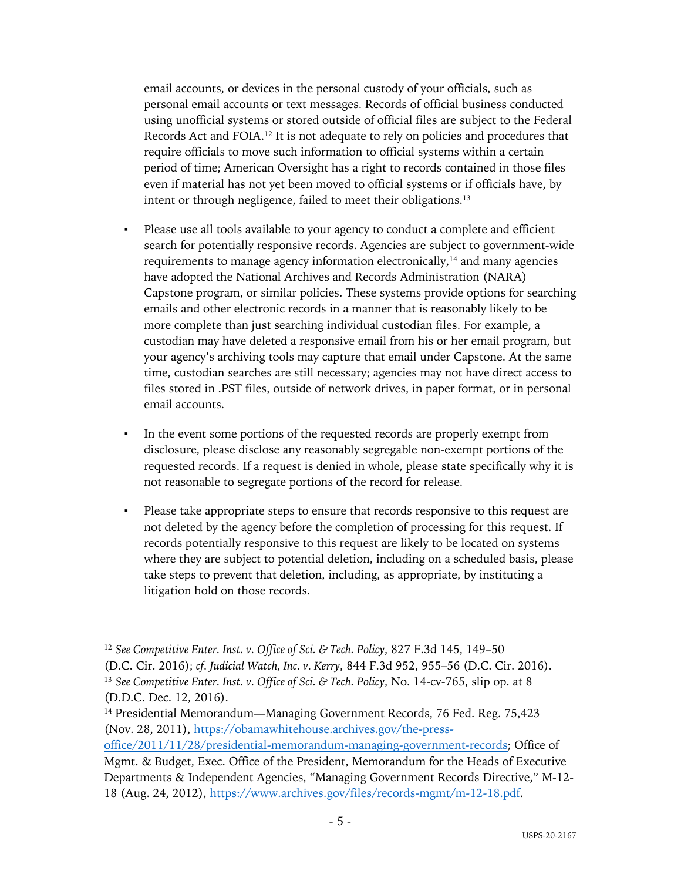email accounts, or devices in the personal custody of your officials, such as personal email accounts or text messages. Records of official business conducted using unofficial systems or stored outside of official files are subject to the Federal Records Act and FOIA.12 It is not adequate to rely on policies and procedures that require officials to move such information to official systems within a certain period of time; American Oversight has a right to records contained in those files even if material has not yet been moved to official systems or if officials have, by intent or through negligence, failed to meet their obligations.<sup>13</sup>

- Please use all tools available to your agency to conduct a complete and efficient search for potentially responsive records. Agencies are subject to government-wide requirements to manage agency information electronically,<sup>14</sup> and many agencies have adopted the National Archives and Records Administration (NARA) Capstone program, or similar policies. These systems provide options for searching emails and other electronic records in a manner that is reasonably likely to be more complete than just searching individual custodian files. For example, a custodian may have deleted a responsive email from his or her email program, but your agency's archiving tools may capture that email under Capstone. At the same time, custodian searches are still necessary; agencies may not have direct access to files stored in .PST files, outside of network drives, in paper format, or in personal email accounts.
- In the event some portions of the requested records are properly exempt from disclosure, please disclose any reasonably segregable non-exempt portions of the requested records. If a request is denied in whole, please state specifically why it is not reasonable to segregate portions of the record for release.
- Please take appropriate steps to ensure that records responsive to this request are not deleted by the agency before the completion of processing for this request. If records potentially responsive to this request are likely to be located on systems where they are subject to potential deletion, including on a scheduled basis, please take steps to prevent that deletion, including, as appropriate, by instituting a litigation hold on those records.

<sup>12</sup> *See Competitive Enter. Inst. v. Office of Sci. & Tech. Policy*, 827 F.3d 145, 149–50 (D.C. Cir. 2016); *cf. Judicial Watch, Inc. v. Kerry*, 844 F.3d 952, 955–56 (D.C. Cir. 2016). <sup>13</sup> *See Competitive Enter. Inst. v. Office of Sci. & Tech. Policy*, No. 14-cv-765, slip op. at 8 (D.D.C. Dec. 12, 2016).

<sup>&</sup>lt;sup>14</sup> Presidential Memorandum—Managing Government Records, 76 Fed. Reg. 75,423 (Nov. 28, 2011), https://obamawhitehouse.archives.gov/the-press-

office/2011/11/28/presidential-memorandum-managing-government-records; Office of Mgmt. & Budget, Exec. Office of the President, Memorandum for the Heads of Executive Departments & Independent Agencies, "Managing Government Records Directive," M-12- 18 (Aug. 24, 2012), https://www.archives.gov/files/records-mgmt/m-12-18.pdf.